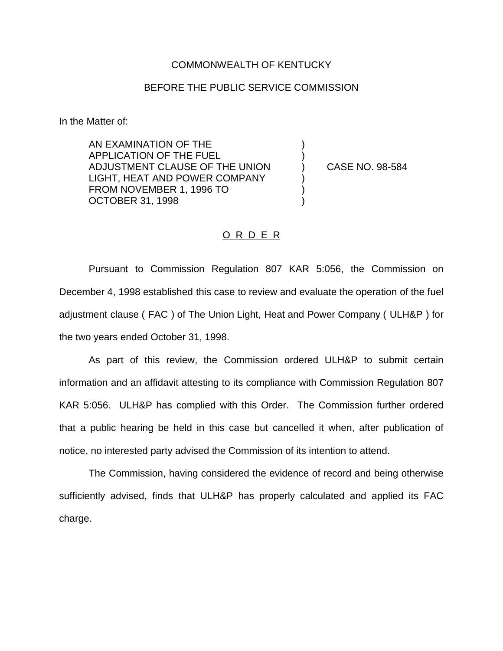## COMMONWEALTH OF KENTUCKY

## BEFORE THE PUBLIC SERVICE COMMISSION

) )

) ) )

In the Matter of:

AN EXAMINATION OF THE APPLICATION OF THE FUEL ADJUSTMENT CLAUSE OF THE UNION LIGHT, HEAT AND POWER COMPANY FROM NOVEMBER 1, 1996 TO OCTOBER 31, 1998

) CASE NO. 98-584

## O R D E R

Pursuant to Commission Regulation 807 KAR 5:056, the Commission on December 4, 1998 established this case to review and evaluate the operation of the fuel adjustment clause ( FAC ) of The Union Light, Heat and Power Company ( ULH&P ) for the two years ended October 31, 1998.

As part of this review, the Commission ordered ULH&P to submit certain information and an affidavit attesting to its compliance with Commission Regulation 807 KAR 5:056. ULH&P has complied with this Order. The Commission further ordered that a public hearing be held in this case but cancelled it when, after publication of notice, no interested party advised the Commission of its intention to attend.

The Commission, having considered the evidence of record and being otherwise sufficiently advised, finds that ULH&P has properly calculated and applied its FAC charge.